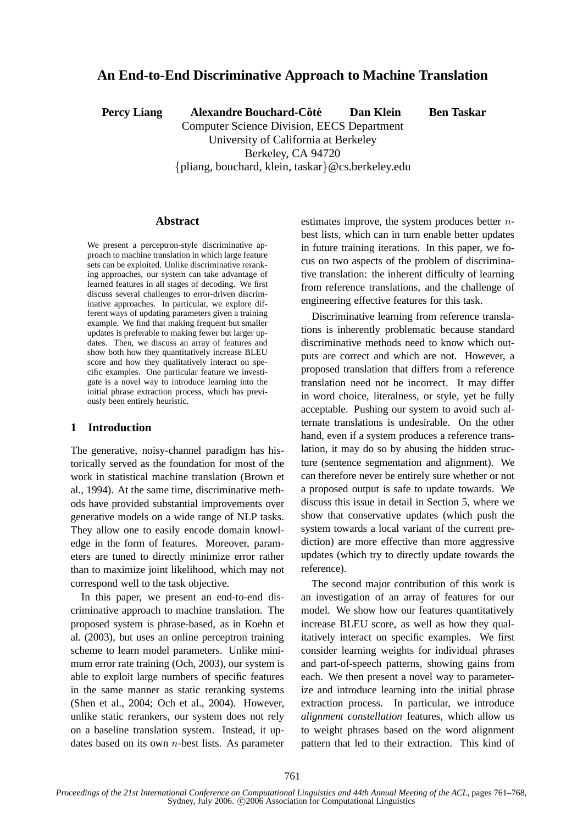# **An End-to-End Discriminative Approach to Machine Translation**

**Percy Liang Alexandre Bouchard-Côté Dan Klein Ben Taskar** 

Computer Science Division, EECS Department University of California at Berkeley Berkeley, CA 94720 {pliang, bouchard, klein, taskar}@cs.berkeley.edu

**Abstract**

We present a perceptron-style discriminative approach to machine translation in which large feature sets can be exploited. Unlike discriminative reranking approaches, our system can take advantage of learned features in all stages of decoding. We first discuss several challenges to error-driven discriminative approaches. In particular, we explore different ways of updating parameters given a training example. We find that making frequent but smaller updates is preferable to making fewer but larger updates. Then, we discuss an array of features and show both how they quantitatively increase BLEU score and how they qualitatively interact on specific examples. One particular feature we investigate is a novel way to introduce learning into the initial phrase extraction process, which has previously been entirely heuristic.

### **1 Introduction**

The generative, noisy-channel paradigm has historically served as the foundation for most of the work in statistical machine translation (Brown et al., 1994). At the same time, discriminative methods have provided substantial improvements over generative models on a wide range of NLP tasks. They allow one to easily encode domain knowledge in the form of features. Moreover, parameters are tuned to directly minimize error rather than to maximize joint likelihood, which may not correspond well to the task objective.

In this paper, we present an end-to-end discriminative approach to machine translation. The proposed system is phrase-based, as in Koehn et al. (2003), but uses an online perceptron training scheme to learn model parameters. Unlike minimum error rate training (Och, 2003), our system is able to exploit large numbers of specific features in the same manner as static reranking systems (Shen et al., 2004; Och et al., 2004). However, unlike static rerankers, our system does not rely on a baseline translation system. Instead, it updates based on its own  $n$ -best lists. As parameter

estimates improve, the system produces better  $n$ best lists, which can in turn enable better updates in future training iterations. In this paper, we focus on two aspects of the problem of discriminative translation: the inherent difficulty of learning from reference translations, and the challenge of engineering effective features for this task.

Discriminative learning from reference translations is inherently problematic because standard discriminative methods need to know which outputs are correct and which are not. However, a proposed translation that differs from a reference translation need not be incorrect. It may differ in word choice, literalness, or style, yet be fully acceptable. Pushing our system to avoid such alternate translations is undesirable. On the other hand, even if a system produces a reference translation, it may do so by abusing the hidden structure (sentence segmentation and alignment). We can therefore never be entirely sure whether or not a proposed output is safe to update towards. We discuss this issue in detail in Section 5, where we show that conservative updates (which push the system towards a local variant of the current prediction) are more effective than more aggressive updates (which try to directly update towards the reference).

The second major contribution of this work is an investigation of an array of features for our model. We show how our features quantitatively increase BLEU score, as well as how they qualitatively interact on specific examples. We first consider learning weights for individual phrases and part-of-speech patterns, showing gains from each. We then present a novel way to parameterize and introduce learning into the initial phrase extraction process. In particular, we introduce *alignment constellation* features, which allow us to weight phrases based on the word alignment pattern that led to their extraction. This kind of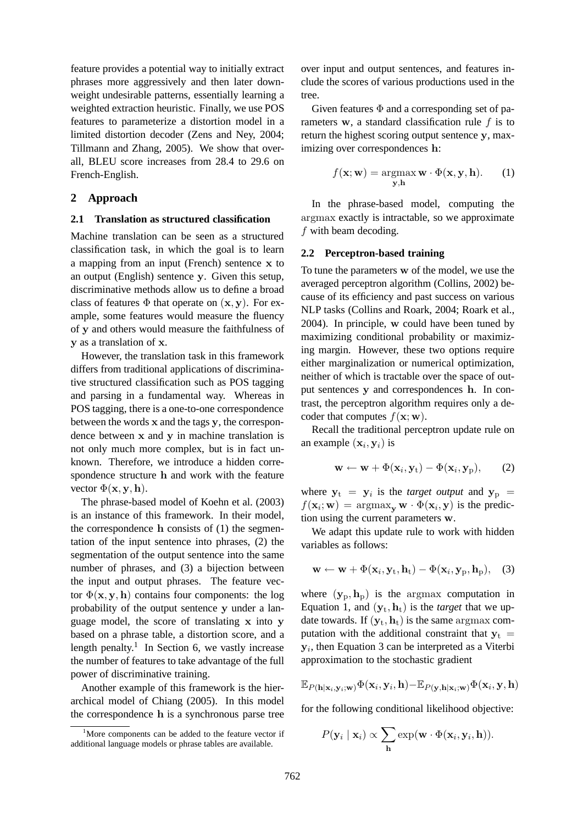feature provides a potential way to initially extract phrases more aggressively and then later downweight undesirable patterns, essentially learning a weighted extraction heuristic. Finally, we use POS features to parameterize a distortion model in a limited distortion decoder (Zens and Ney, 2004; Tillmann and Zhang, 2005). We show that overall, BLEU score increases from 28.4 to 29.6 on French-English.

## **2 Approach**

### **2.1 Translation as structured classification**

Machine translation can be seen as a structured classification task, in which the goal is to learn a mapping from an input (French) sentence x to an output (English) sentence y. Given this setup, discriminative methods allow us to define a broad class of features  $\Phi$  that operate on  $(x, y)$ . For example, some features would measure the fluency of y and others would measure the faithfulness of y as a translation of x.

However, the translation task in this framework differs from traditional applications of discriminative structured classification such as POS tagging and parsing in a fundamental way. Whereas in POS tagging, there is a one-to-one correspondence between the words x and the tags y, the correspondence between x and y in machine translation is not only much more complex, but is in fact unknown. Therefore, we introduce a hidden correspondence structure h and work with the feature vector  $\Phi(\mathbf{x}, \mathbf{y}, \mathbf{h})$ .

The phrase-based model of Koehn et al. (2003) is an instance of this framework. In their model, the correspondence  $h$  consists of  $(1)$  the segmentation of the input sentence into phrases, (2) the segmentation of the output sentence into the same number of phrases, and (3) a bijection between the input and output phrases. The feature vector  $\Phi(\mathbf{x}, \mathbf{y}, \mathbf{h})$  contains four components: the log probability of the output sentence y under a language model, the score of translating x into y based on a phrase table, a distortion score, and a length penalty.<sup>1</sup> In Section 6, we vastly increase the number of features to take advantage of the full power of discriminative training.

Another example of this framework is the hierarchical model of Chiang (2005). In this model the correspondence h is a synchronous parse tree over input and output sentences, and features include the scores of various productions used in the tree.

Given features  $\Phi$  and a corresponding set of parameters  $w$ , a standard classification rule  $f$  is to return the highest scoring output sentence y, maximizing over correspondences h:

$$
f(\mathbf{x}; \mathbf{w}) = \operatorname*{argmax}_{\mathbf{y}, \mathbf{h}} \mathbf{w} \cdot \Phi(\mathbf{x}, \mathbf{y}, \mathbf{h}).
$$
 (1)

In the phrase-based model, computing the argmax exactly is intractable, so we approximate f with beam decoding.

### **2.2 Perceptron-based training**

To tune the parameters w of the model, we use the averaged perceptron algorithm (Collins, 2002) because of its efficiency and past success on various NLP tasks (Collins and Roark, 2004; Roark et al., 2004). In principle, w could have been tuned by maximizing conditional probability or maximizing margin. However, these two options require either marginalization or numerical optimization, neither of which is tractable over the space of output sentences y and correspondences h. In contrast, the perceptron algorithm requires only a decoder that computes  $f(\mathbf{x}; \mathbf{w})$ .

Recall the traditional perceptron update rule on an example  $(\mathbf{x}_i, \mathbf{y}_i)$  is

$$
\mathbf{w} \leftarrow \mathbf{w} + \Phi(\mathbf{x}_i, \mathbf{y}_t) - \Phi(\mathbf{x}_i, \mathbf{y}_p), \qquad (2)
$$

where  $y_t = y_i$  is the *target output* and  $y_p$  =  $f(\mathbf{x}_i; \mathbf{w}) = \argmax_{\mathbf{y}} \mathbf{w} \cdot \Phi(\mathbf{x}_i, \mathbf{y})$  is the prediction using the current parameters w.

We adapt this update rule to work with hidden variables as follows:

$$
\mathbf{w} \leftarrow \mathbf{w} + \Phi(\mathbf{x}_i, \mathbf{y}_t, \mathbf{h}_t) - \Phi(\mathbf{x}_i, \mathbf{y}_p, \mathbf{h}_p), \quad (3)
$$

where  $(\mathbf{y}_p, \mathbf{h}_p)$  is the argmax computation in Equation 1, and  $(\mathbf{y}_t, \mathbf{h}_t)$  is the *target* that we update towards. If  $(y_t, h_t)$  is the same argmax computation with the additional constraint that  $y_t$  =  $y_i$ , then Equation 3 can be interpreted as a Viterbi approximation to the stochastic gradient

$$
\mathbb{E}_{P(\mathbf{h}|\mathbf{x}_i,\mathbf{y}_i;\mathbf{w})}\Phi(\mathbf{x}_i,\mathbf{y}_i,\mathbf{h})-\mathbb{E}_{P(\mathbf{y},\mathbf{h}|\mathbf{x}_i;\mathbf{w})}\Phi(\mathbf{x}_i,\mathbf{y},\mathbf{h})
$$

for the following conditional likelihood objective:

$$
P(\mathbf{y}_i | \mathbf{x}_i) \propto \sum_{\mathbf{h}} \exp(\mathbf{w} \cdot \Phi(\mathbf{x}_i, \mathbf{y}_i, \mathbf{h})).
$$

 $1<sup>1</sup>$ More components can be added to the feature vector if additional language models or phrase tables are available.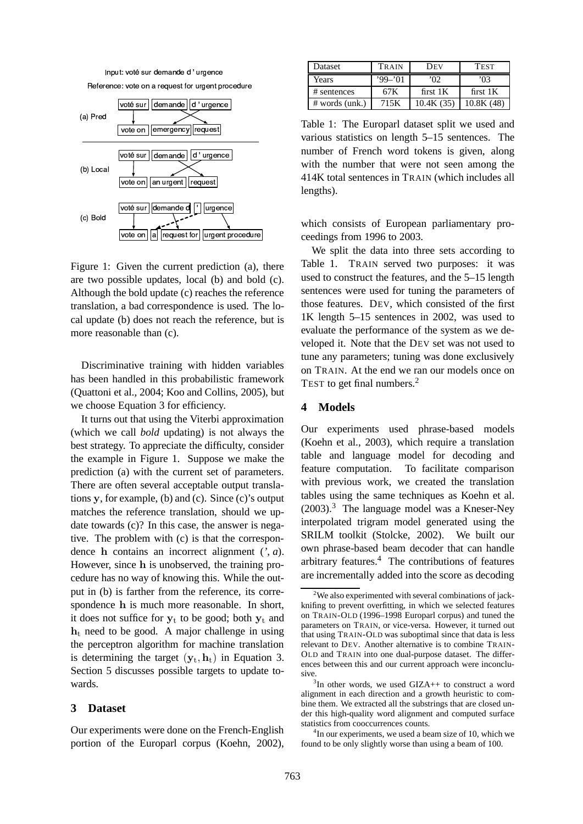



Figure 1: Given the current prediction (a), there are two possible updates, local (b) and bold (c). Although the bold update (c) reaches the reference translation, a bad correspondence is used. The local update (b) does not reach the reference, but is more reasonable than (c).

Discriminative training with hidden variables has been handled in this probabilistic framework (Quattoni et al., 2004; Koo and Collins, 2005), but we choose Equation 3 for efficiency.

It turns out that using the Viterbi approximation (which we call *bold* updating) is not always the best strategy. To appreciate the difficulty, consider the example in Figure 1. Suppose we make the prediction (a) with the current set of parameters. There are often several acceptable output translations y, for example, (b) and (c). Since (c)'s output matches the reference translation, should we update towards (c)? In this case, the answer is negative. The problem with (c) is that the correspondence h contains an incorrect alignment (*'*, *a*). However, since h is unobserved, the training procedure has no way of knowing this. While the output in (b) is farther from the reference, its correspondence h is much more reasonable. In short, it does not suffice for  $y_t$  to be good; both  $y_t$  and  $h_t$  need to be good. A major challenge in using the perceptron algorithm for machine translation is determining the target  $(\mathbf{y}_t, \mathbf{h}_t)$  in Equation 3. Section 5 discusses possible targets to update towards.

#### **3 Dataset**

Our experiments were done on the French-English portion of the Europarl corpus (Koehn, 2002),

| Dataset          | TRAIN     | Dev        | <b>TEST</b> |
|------------------|-----------|------------|-------------|
| Years            | $99 - 01$ | מו'        | ነበ3         |
| # sentences      | 67 K      | first $1K$ | first $1K$  |
| $#$ words (unk.) | 715K      | 10.4K(35)  | 10.8K(48)   |

Table 1: The Europarl dataset split we used and various statistics on length 5–15 sentences. The number of French word tokens is given, along with the number that were not seen among the 414K total sentences in TRAIN (which includes all lengths).

which consists of European parliamentary proceedings from 1996 to 2003.

We split the data into three sets according to Table 1. TRAIN served two purposes: it was used to construct the features, and the 5–15 length sentences were used for tuning the parameters of those features. DEV, which consisted of the first 1K length 5–15 sentences in 2002, was used to evaluate the performance of the system as we developed it. Note that the DEV set was not used to tune any parameters; tuning was done exclusively on TRAIN. At the end we ran our models once on TEST to get final numbers.<sup>2</sup>

# **4 Models**

Our experiments used phrase-based models (Koehn et al., 2003), which require a translation table and language model for decoding and feature computation. To facilitate comparison with previous work, we created the translation tables using the same techniques as Koehn et al.  $(2003).$ <sup>3</sup> The language model was a Kneser-Ney interpolated trigram model generated using the SRILM toolkit (Stolcke, 2002). We built our own phrase-based beam decoder that can handle arbitrary features.<sup>4</sup> The contributions of features are incrementally added into the score as decoding

<sup>4</sup>In our experiments, we used a beam size of 10, which we found to be only slightly worse than using a beam of 100.

<sup>&</sup>lt;sup>2</sup>We also experimented with several combinations of jackknifing to prevent overfitting, in which we selected features on TRAIN-OLD (1996–1998 Europarl corpus) and tuned the parameters on TRAIN, or vice-versa. However, it turned out that using TRAIN-OLD was suboptimal since that data is less relevant to DEV. Another alternative is to combine TRAIN-OLD and TRAIN into one dual-purpose dataset. The differences between this and our current approach were inconclusive.

<sup>3</sup> In other words, we used GIZA++ to construct a word alignment in each direction and a growth heuristic to combine them. We extracted all the substrings that are closed under this high-quality word alignment and computed surface statistics from cooccurrences counts.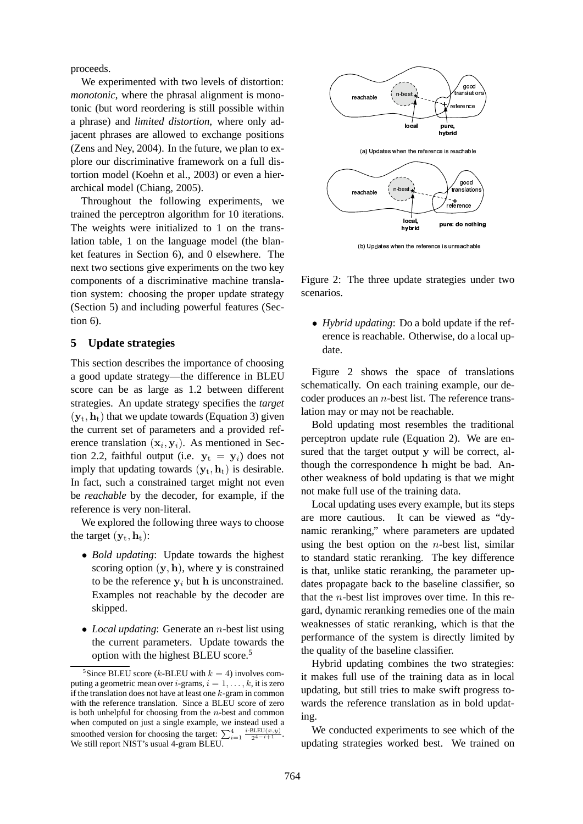proceeds.

We experimented with two levels of distortion: *monotonic*, where the phrasal alignment is monotonic (but word reordering is still possible within a phrase) and *limited distortion*, where only adjacent phrases are allowed to exchange positions (Zens and Ney, 2004). In the future, we plan to explore our discriminative framework on a full distortion model (Koehn et al., 2003) or even a hierarchical model (Chiang, 2005).

Throughout the following experiments, we trained the perceptron algorithm for 10 iterations. The weights were initialized to 1 on the translation table, 1 on the language model (the blanket features in Section 6), and 0 elsewhere. The next two sections give experiments on the two key components of a discriminative machine translation system: choosing the proper update strategy (Section 5) and including powerful features (Section 6).

# **5 Update strategies**

This section describes the importance of choosing a good update strategy—the difference in BLEU score can be as large as 1.2 between different strategies. An update strategy specifies the *target*  $(\mathbf{y}_t, \mathbf{h}_t)$  that we update towards (Equation 3) given the current set of parameters and a provided reference translation  $(x_i, y_i)$ . As mentioned in Section 2.2, faithful output (i.e.  $y_t = y_i$ ) does not imply that updating towards  $(y_t, h_t)$  is desirable. In fact, such a constrained target might not even be *reachable* by the decoder, for example, if the reference is very non-literal.

We explored the following three ways to choose the target  $(\mathbf{y}_t, \mathbf{h}_t)$ :

- *Bold updating*: Update towards the highest scoring option  $(y, h)$ , where y is constrained to be the reference  $y_i$  but h is unconstrained. Examples not reachable by the decoder are skipped.
- *Local updating*: Generate an *n*-best list using the current parameters. Update towards the option with the highest BLEU score.<sup>5</sup>



(b) Updates when the reference is unreachabl

Figure 2: The three update strategies under two scenarios.

• *Hybrid updating*: Do a bold update if the reference is reachable. Otherwise, do a local update.

Figure 2 shows the space of translations schematically. On each training example, our decoder produces an  $n$ -best list. The reference translation may or may not be reachable.

Bold updating most resembles the traditional perceptron update rule (Equation 2). We are ensured that the target output y will be correct, although the correspondence h might be bad. Another weakness of bold updating is that we might not make full use of the training data.

Local updating uses every example, but its steps are more cautious. It can be viewed as "dynamic reranking," where parameters are updated using the best option on the  $n$ -best list, similar to standard static reranking. The key difference is that, unlike static reranking, the parameter updates propagate back to the baseline classifier, so that the  $n$ -best list improves over time. In this regard, dynamic reranking remedies one of the main weaknesses of static reranking, which is that the performance of the system is directly limited by the quality of the baseline classifier.

Hybrid updating combines the two strategies: it makes full use of the training data as in local updating, but still tries to make swift progress towards the reference translation as in bold updating.

We conducted experiments to see which of the updating strategies worked best. We trained on

<sup>&</sup>lt;sup>5</sup>Since BLEU score (*k*-BLEU with  $k = 4$ ) involves computing a geometric mean over *i*-grams,  $i = 1, \ldots, k$ , it is zero if the translation does not have at least one  $k$ -gram in common with the reference translation. Since a BLEU score of zero is both unhelpful for choosing from the  $n$ -best and common when computed on just a single example, we instead used a smoothed version for choosing the target:  $\sum_{i=1}^{4} \frac{i-BLEU(x,y)}{2^{4-i+1}}$ . We still report NIST's usual 4-gram BLEU.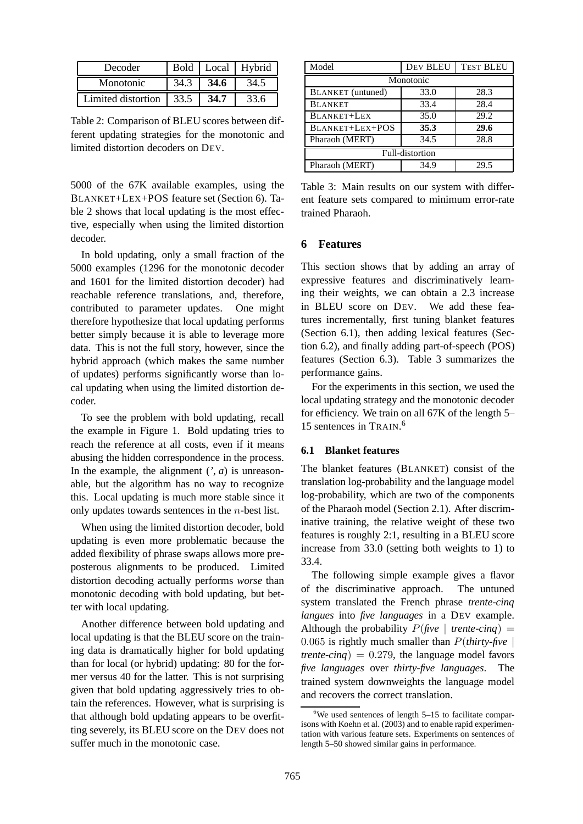| Decoder            |      |      | Bold   Local   Hybrid |
|--------------------|------|------|-----------------------|
| Monotonic          | 34.3 | 34.6 | 34.5                  |
| Limited distortion | 33.5 | 34.7 | 33.6                  |

Table 2: Comparison of BLEU scores between different updating strategies for the monotonic and limited distortion decoders on DEV.

5000 of the 67K available examples, using the BLANKET+LEX+POS feature set (Section 6). Table 2 shows that local updating is the most effective, especially when using the limited distortion decoder.

In bold updating, only a small fraction of the 5000 examples (1296 for the monotonic decoder and 1601 for the limited distortion decoder) had reachable reference translations, and, therefore, contributed to parameter updates. One might therefore hypothesize that local updating performs better simply because it is able to leverage more data. This is not the full story, however, since the hybrid approach (which makes the same number of updates) performs significantly worse than local updating when using the limited distortion decoder.

To see the problem with bold updating, recall the example in Figure 1. Bold updating tries to reach the reference at all costs, even if it means abusing the hidden correspondence in the process. In the example, the alignment  $(\cdot, a)$  is unreasonable, but the algorithm has no way to recognize this. Local updating is much more stable since it only updates towards sentences in the n-best list.

When using the limited distortion decoder, bold updating is even more problematic because the added flexibility of phrase swaps allows more preposterous alignments to be produced. Limited distortion decoding actually performs *worse* than monotonic decoding with bold updating, but better with local updating.

Another difference between bold updating and local updating is that the BLEU score on the training data is dramatically higher for bold updating than for local (or hybrid) updating: 80 for the former versus 40 for the latter. This is not surprising given that bold updating aggressively tries to obtain the references. However, what is surprising is that although bold updating appears to be overfitting severely, its BLEU score on the DEV does not suffer much in the monotonic case.

| Model                    | DEV BLEU | <b>TEST BLEU</b> |  |  |
|--------------------------|----------|------------------|--|--|
| Monotonic                |          |                  |  |  |
| <b>BLANKET</b> (untuned) | 33.0     | 28.3             |  |  |
| <b>BLANKET</b>           | 33.4     | 28.4             |  |  |
| <b>BLANKET+LEX</b>       | 35.0     | 29.2             |  |  |
| BLANKET+LEX+POS          | 35.3     | 29.6             |  |  |
| Pharaoh (MERT)           | 34.5     | 28.8             |  |  |
| Full-distortion          |          |                  |  |  |
| Pharaoh (MERT)           | 34.9     | 29.5             |  |  |

Table 3: Main results on our system with different feature sets compared to minimum error-rate trained Pharaoh.

# **6 Features**

This section shows that by adding an array of expressive features and discriminatively learning their weights, we can obtain a 2.3 increase in BLEU score on DEV. We add these features incrementally, first tuning blanket features (Section 6.1), then adding lexical features (Section 6.2), and finally adding part-of-speech (POS) features (Section 6.3). Table 3 summarizes the performance gains.

For the experiments in this section, we used the local updating strategy and the monotonic decoder for efficiency. We train on all 67K of the length 5– 15 sentences in TRAIN. 6

## **6.1 Blanket features**

The blanket features (BLANKET) consist of the translation log-probability and the language model log-probability, which are two of the components of the Pharaoh model (Section 2.1). After discriminative training, the relative weight of these two features is roughly 2:1, resulting in a BLEU score increase from 33.0 (setting both weights to 1) to 33.4.

The following simple example gives a flavor of the discriminative approach. The untuned system translated the French phrase *trente-cinq langues* into *five languages* in a DEV example. Although the probability  $P$ (*five* | *trente-cinq*) =  $0.065$  is rightly much smaller than  $P$ (*thirty-five* | *trente-cinq*) =  $0.279$ , the language model favors *five languages* over *thirty-five languages*. The trained system downweights the language model and recovers the correct translation.

 $6$ We used sentences of length 5–15 to facilitate comparisons with Koehn et al. (2003) and to enable rapid experimentation with various feature sets. Experiments on sentences of length 5–50 showed similar gains in performance.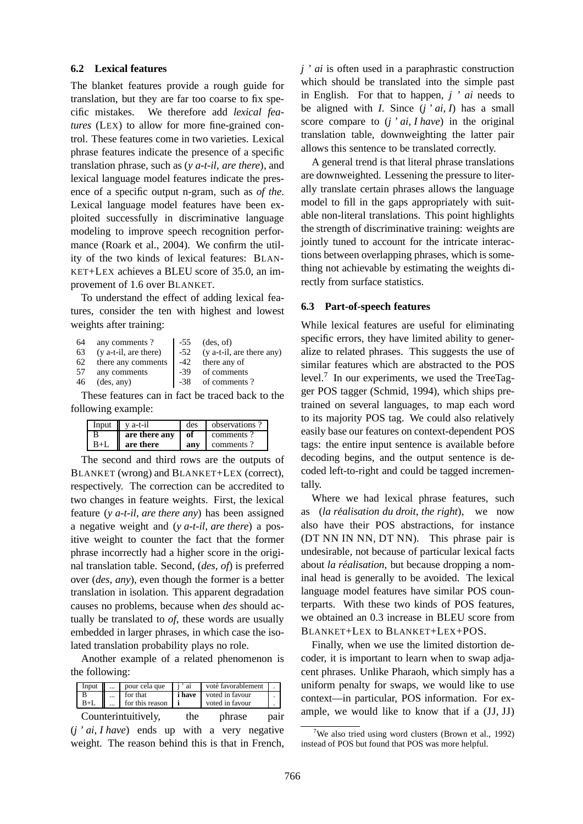#### **6.2 Lexical features**

The blanket features provide a rough guide for translation, but they are far too coarse to fix specific mistakes. We therefore add *lexical features* (LEX) to allow for more fine-grained control. These features come in two varieties. Lexical phrase features indicate the presence of a specific translation phrase, such as (*y a-t-il*, *are there*), and lexical language model features indicate the presence of a specific output n-gram, such as *of the*. Lexical language model features have been exploited successfully in discriminative language modeling to improve speech recognition performance (Roark et al., 2004). We confirm the utility of the two kinds of lexical features: BLAN-KET+LEX achieves a BLEU score of 35.0, an improvement of 1.6 over BLANKET.

To understand the effect of adding lexical features, consider the ten with highest and lowest weights after training:

| 64 | any comments?              | $-55$ | $(\text{des}, \text{of})$ |
|----|----------------------------|-------|---------------------------|
| 63 | (y a-t-il, are there)      | $-52$ | (y a-t-il, are there any) |
| 62 | there any comments         | -42   | there any of              |
| 57 | any comments               | -39   | of comments               |
| 46 | $(\text{des}, \text{any})$ | $-38$ | of comments?              |

These features can in fact be traced back to the following example:

| Input | v a-t-il      | des | observations? |
|-------|---------------|-----|---------------|
|       | are there any | of  | comments?     |
|       | are there     | anv | comments?     |

The second and third rows are the outputs of BLANKET (wrong) and BLANKET+LEX (correct), respectively. The correction can be accredited to two changes in feature weights. First, the lexical feature (*y a-t-il*, *are there any*) has been assigned a negative weight and (*y a-t-il*, *are there*) a positive weight to counter the fact that the former phrase incorrectly had a higher score in the original translation table. Second, (*des*, *of*) is preferred over (*des*, *any*), even though the former is a better translation in isolation. This apparent degradation causes no problems, because when *des* should actually be translated to *of*, these words are usually embedded in larger phrases, in which case the isolated translation probability plays no role.

Another example of a related phenomenon is the following:

| Input II |          | pour cela que              | i'ai   | voté favorablement |      |
|----------|----------|----------------------------|--------|--------------------|------|
|          | $\cdots$ | for that                   | i have | voted in favour    |      |
| $B+L$    |          | $\ldots$ for this reason i |        | voted in favour    |      |
|          |          | Counterintuitively,        | the    | phrase             | pair |

(*j ' ai*, *I have*) ends up with a very negative weight. The reason behind this is that in French, *j ' ai* is often used in a paraphrastic construction which should be translated into the simple past in English. For that to happen, *j ' ai* needs to be aligned with *I*. Since (*j ' ai*, *I*) has a small score compare to (*j ' ai*, *I have*) in the original translation table, downweighting the latter pair allows this sentence to be translated correctly.

A general trend is that literal phrase translations are downweighted. Lessening the pressure to literally translate certain phrases allows the language model to fill in the gaps appropriately with suitable non-literal translations. This point highlights the strength of discriminative training: weights are jointly tuned to account for the intricate interactions between overlapping phrases, which is something not achievable by estimating the weights directly from surface statistics.

# **6.3 Part-of-speech features**

While lexical features are useful for eliminating specific errors, they have limited ability to generalize to related phrases. This suggests the use of similar features which are abstracted to the POS level. $\frac{7}{1}$  In our experiments, we used the TreeTagger POS tagger (Schmid, 1994), which ships pretrained on several languages, to map each word to its majority POS tag. We could also relatively easily base our features on context-dependent POS tags: the entire input sentence is available before decoding begins, and the output sentence is decoded left-to-right and could be tagged incrementally.

Where we had lexical phrase features, such as (*la réalisation du droit, the right*), we now also have their POS abstractions, for instance (DT NN IN NN, DT NN). This phrase pair is undesirable, not because of particular lexical facts about *la réalisation*, but because dropping a nominal head is generally to be avoided. The lexical language model features have similar POS counterparts. With these two kinds of POS features, we obtained an 0.3 increase in BLEU score from BLANKET+LEX to BLANKET+LEX+POS.

Finally, when we use the limited distortion decoder, it is important to learn when to swap adjacent phrases. Unlike Pharaoh, which simply has a uniform penalty for swaps, we would like to use context—in particular, POS information. For example, we would like to know that if a (JJ, JJ)

<sup>&</sup>lt;sup>7</sup>We also tried using word clusters (Brown et al., 1992) instead of POS but found that POS was more helpful.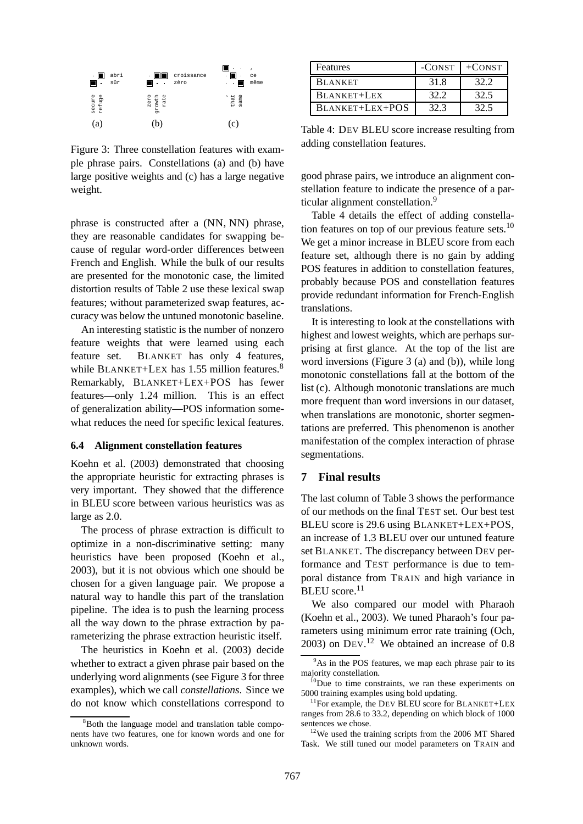

Figure 3: Three constellation features with example phrase pairs. Constellations (a) and (b) have large positive weights and (c) has a large negative weight.

phrase is constructed after a (NN, NN) phrase, they are reasonable candidates for swapping because of regular word-order differences between French and English. While the bulk of our results are presented for the monotonic case, the limited distortion results of Table 2 use these lexical swap features; without parameterized swap features, accuracy was below the untuned monotonic baseline.

An interesting statistic is the number of nonzero feature weights that were learned using each feature set. BLANKET has only 4 features, while BLANKET+LEX has 1.55 million features.<sup>8</sup> Remarkably, BLANKET+LEX+POS has fewer features—only 1.24 million. This is an effect of generalization ability—POS information somewhat reduces the need for specific lexical features.

# **6.4 Alignment constellation features**

Koehn et al. (2003) demonstrated that choosing the appropriate heuristic for extracting phrases is very important. They showed that the difference in BLEU score between various heuristics was as large as 2.0.

The process of phrase extraction is difficult to optimize in a non-discriminative setting: many heuristics have been proposed (Koehn et al., 2003), but it is not obvious which one should be chosen for a given language pair. We propose a natural way to handle this part of the translation pipeline. The idea is to push the learning process all the way down to the phrase extraction by parameterizing the phrase extraction heuristic itself.

The heuristics in Koehn et al. (2003) decide whether to extract a given phrase pair based on the underlying word alignments (see Figure 3 for three examples), which we call *constellations*. Since we do not know which constellations correspond to

| <b>Features</b> |      | $-CONST$ $+CONST$ |
|-----------------|------|-------------------|
| <b>BLANKET</b>  | 31.8 | 32.2              |
| BLANKET+LEX     | 32.2 | 32.5              |
| BLANKET+LEX+POS | 32.3 |                   |

Table 4: DEV BLEU score increase resulting from adding constellation features.

good phrase pairs, we introduce an alignment constellation feature to indicate the presence of a particular alignment constellation.<sup>9</sup>

Table 4 details the effect of adding constellation features on top of our previous feature sets. $10$ We get a minor increase in BLEU score from each feature set, although there is no gain by adding POS features in addition to constellation features, probably because POS and constellation features provide redundant information for French-English translations.

It is interesting to look at the constellations with highest and lowest weights, which are perhaps surprising at first glance. At the top of the list are word inversions (Figure 3 (a) and (b)), while long monotonic constellations fall at the bottom of the list (c). Although monotonic translations are much more frequent than word inversions in our dataset, when translations are monotonic, shorter segmentations are preferred. This phenomenon is another manifestation of the complex interaction of phrase segmentations.

# **7 Final results**

The last column of Table 3 shows the performance of our methods on the final TEST set. Our best test BLEU score is 29.6 using BLANKET+LEX+POS, an increase of 1.3 BLEU over our untuned feature set BLANKET. The discrepancy between DEV performance and TEST performance is due to temporal distance from TRAIN and high variance in BLEU score.<sup>11</sup>

We also compared our model with Pharaoh (Koehn et al., 2003). We tuned Pharaoh's four parameters using minimum error rate training (Och,  $2003$ ) on DEV.<sup>12</sup> We obtained an increase of 0.8

<sup>&</sup>lt;sup>8</sup>Both the language model and translation table components have two features, one for known words and one for unknown words.

<sup>&</sup>lt;sup>9</sup>As in the POS features, we map each phrase pair to its majority constellation.

 $10$ Due to time constraints, we ran these experiments on 5000 training examples using bold updating.

<sup>&</sup>lt;sup>11</sup>For example, the DEV BLEU score for BLANKET+LEX ranges from 28.6 to 33.2, depending on which block of 1000 sentences we chose.

 $12$ We used the training scripts from the 2006 MT Shared Task. We still tuned our model parameters on TRAIN and